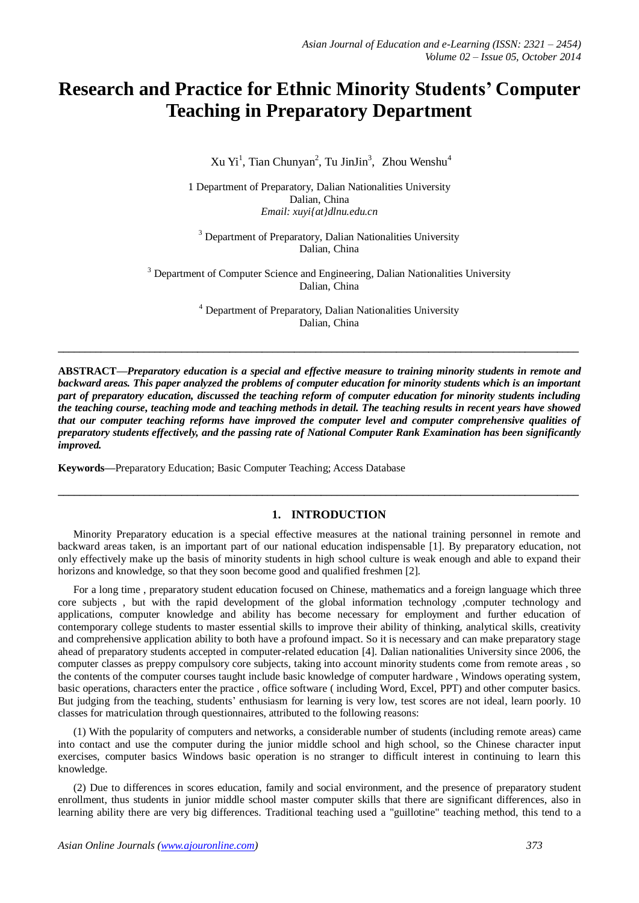# **Research and Practice for Ethnic Minority Students' Computer Teaching in Preparatory Department**

Xu Yi<sup>1</sup>, Tian Chunyan<sup>2</sup>, Tu JinJin<sup>3</sup>, Zhou Wenshu<sup>4</sup>

1 Department of Preparatory, Dalian Nationalities University Dalian, China *Email: xuyi{at}dlnu.edu.cn*

<sup>3</sup> Department of Preparatory, Dalian Nationalities University Dalian, China

<sup>3</sup> Department of Computer Science and Engineering, Dalian Nationalities University Dalian, China

> <sup>4</sup> Department of Preparatory, Dalian Nationalities University Dalian, China

**ABSTRACT—***Preparatory education is a special and effective measure to training minority students in remote and*  backward areas. This paper analyzed the problems of computer education for minority students which is an important *part of preparatory education, discussed the teaching reform of computer education for minority students including the teaching course, teaching mode and teaching methods in detail. The teaching results in recent years have showed that our computer teaching reforms have improved the computer level and computer comprehensive qualities of preparatory students effectively, and the passing rate of National Computer Rank Examination has been significantly improved.*

**\_\_\_\_\_\_\_\_\_\_\_\_\_\_\_\_\_\_\_\_\_\_\_\_\_\_\_\_\_\_\_\_\_\_\_\_\_\_\_\_\_\_\_\_\_\_\_\_\_\_\_\_\_\_\_\_\_\_\_\_\_\_\_\_\_\_\_\_\_\_\_\_\_\_\_\_\_\_\_\_\_\_\_\_\_\_\_\_\_\_\_\_\_\_\_\_\_** 

**Keywords—**Preparatory Education; Basic Computer Teaching; Access Database

# **1. INTRODUCTION**

Minority Preparatory education is a special effective measures at the national training personnel in remote and backward areas taken, is an important part of our national education indispensable [1]. By preparatory education, not only effectively make up the basis of minority students in high school culture is weak enough and able to expand their horizons and knowledge, so that they soon become good and qualified freshmen [2].

**\_\_\_\_\_\_\_\_\_\_\_\_\_\_\_\_\_\_\_\_\_\_\_\_\_\_\_\_\_\_\_\_\_\_\_\_\_\_\_\_\_\_\_\_\_\_\_\_\_\_\_\_\_\_\_\_\_\_\_\_\_\_\_\_\_\_\_\_\_\_\_\_\_\_\_\_\_\_\_\_\_\_\_\_\_\_\_\_\_\_\_\_\_\_\_\_\_**

For a long time , preparatory student education focused on Chinese, mathematics and a foreign language which three core subjects , but with the rapid development of the global information technology ,computer technology and applications, computer knowledge and ability has become necessary for employment and further education of contemporary college students to master essential skills to improve their ability of thinking, analytical skills, creativity and comprehensive application ability to both have a profound impact. So it is necessary and can make preparatory stage ahead of preparatory students accepted in computer-related education [4]. Dalian nationalities University since 2006, the computer classes as preppy compulsory core subjects, taking into account minority students come from remote areas , so the contents of the computer courses taught include basic knowledge of computer hardware , Windows operating system, basic operations, characters enter the practice , office software ( including Word, Excel, PPT) and other computer basics. But judging from the teaching, students' enthusiasm for learning is very low, test scores are not ideal, learn poorly. 10 classes for matriculation through questionnaires, attributed to the following reasons:

(1) With the popularity of computers and networks, a considerable number of students (including remote areas) came into contact and use the computer during the junior middle school and high school, so the Chinese character input exercises, computer basics Windows basic operation is no stranger to difficult interest in continuing to learn this knowledge.

(2) Due to differences in scores education, family and social environment, and the presence of preparatory student enrollment, thus students in junior middle school master computer skills that there are significant differences, also in learning ability there are very big differences. Traditional teaching used a "guillotine" teaching method, this tend to a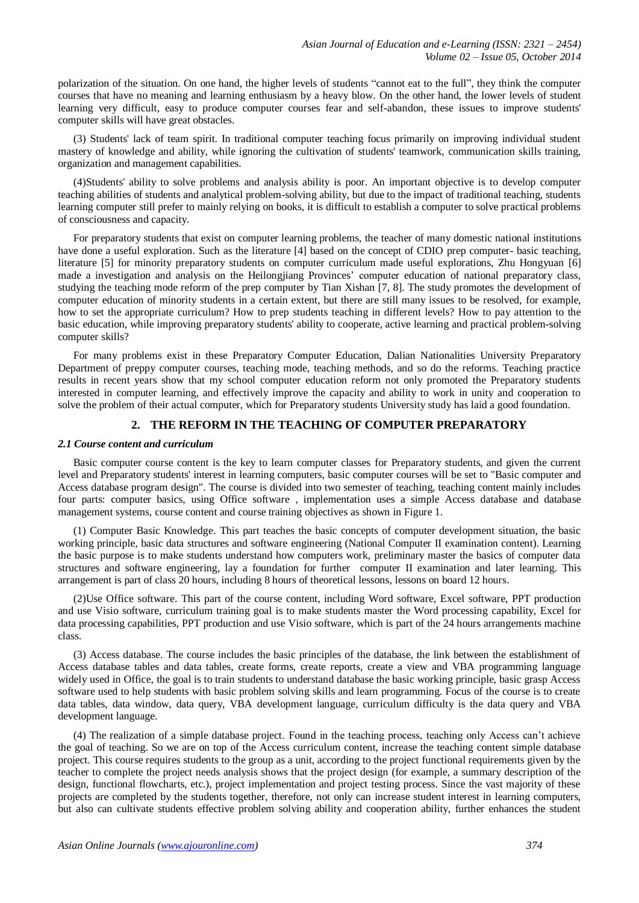polarization of the situation. On one hand, the higher levels of students "cannot eat to the full", they think the computer courses that have no meaning and learning enthusiasm by a heavy blow. On the other hand, the lower levels of student learning very difficult, easy to produce computer courses fear and self-abandon, these issues to improve students' computer skills will have great obstacles.

(3) Students' lack of team spirit. In traditional computer teaching focus primarily on improving individual student mastery of knowledge and ability, while ignoring the cultivation of students' teamwork, communication skills training, organization and management capabilities.

(4)Students' ability to solve problems and analysis ability is poor. An important objective is to develop computer teaching abilities of students and analytical problem-solving ability, but due to the impact of traditional teaching, students learning computer still prefer to mainly relying on books, it is difficult to establish a computer to solve practical problems of consciousness and capacity.

For preparatory students that exist on computer learning problems, the teacher of many domestic national institutions have done a useful exploration. Such as the literature [4] based on the concept of CDIO prep computer- basic teaching, literature [5] for minority preparatory students on computer curriculum made useful explorations, Zhu Hongyuan [6] made a investigation and analysis on the Heilongjiang Provinces' computer education of national preparatory class, studying the teaching mode reform of the prep computer by Tian Xishan [7, 8]. The study promotes the development of computer education of minority students in a certain extent, but there are still many issues to be resolved, for example, how to set the appropriate curriculum? How to prep students teaching in different levels? How to pay attention to the basic education, while improving preparatory students' ability to cooperate, active learning and practical problem-solving computer skills?

For many problems exist in these Preparatory Computer Education, Dalian Nationalities University Preparatory Department of preppy computer courses, teaching mode, teaching methods, and so do the reforms. Teaching practice results in recent years show that my school computer education reform not only promoted the Preparatory students interested in computer learning, and effectively improve the capacity and ability to work in unity and cooperation to solve the problem of their actual computer, which for Preparatory students University study has laid a good foundation.

## **2. THE REFORM IN THE TEACHING OF COMPUTER PREPARATORY**

#### *2.1 Course content and curriculum*

Basic computer course content is the key to learn computer classes for Preparatory students, and given the current level and Preparatory students' interest in learning computers, basic computer courses will be set to "Basic computer and Access database program design". The course is divided into two semester of teaching, teaching content mainly includes four parts: computer basics, using Office software , implementation uses a simple Access database and database management systems, course content and course training objectives as shown in Figure 1.

(1) Computer Basic Knowledge. This part teaches the basic concepts of computer development situation, the basic working principle, basic data structures and software engineering (National Computer II examination content). Learning the basic purpose is to make students understand how computers work, preliminary master the basics of computer data structures and software engineering, lay a foundation for further computer II examination and later learning. This arrangement is part of class 20 hours, including 8 hours of theoretical lessons, lessons on board 12 hours.

(2)Use Office software. This part of the course content, including Word software, Excel software, PPT production and use Visio software, curriculum training goal is to make students master the Word processing capability, Excel for data processing capabilities, PPT production and use Visio software, which is part of the 24 hours arrangements machine class.

(3) Access database. The course includes the basic principles of the database, the link between the establishment of Access database tables and data tables, create forms, create reports, create a view and VBA programming language widely used in Office, the goal is to train students to understand database the basic working principle, basic grasp Access software used to help students with basic problem solving skills and learn programming. Focus of the course is to create data tables, data window, data query, VBA development language, curriculum difficulty is the data query and VBA development language.

(4) The realization of a simple database project. Found in the teaching process, teaching only Access can't achieve the goal of teaching. So we are on top of the Access curriculum content, increase the teaching content simple database project. This course requires students to the group as a unit, according to the project functional requirements given by the teacher to complete the project needs analysis shows that the project design (for example, a summary description of the design, functional flowcharts, etc.), project implementation and project testing process. Since the vast majority of these projects are completed by the students together, therefore, not only can increase student interest in learning computers, but also can cultivate students effective problem solving ability and cooperation ability, further enhances the student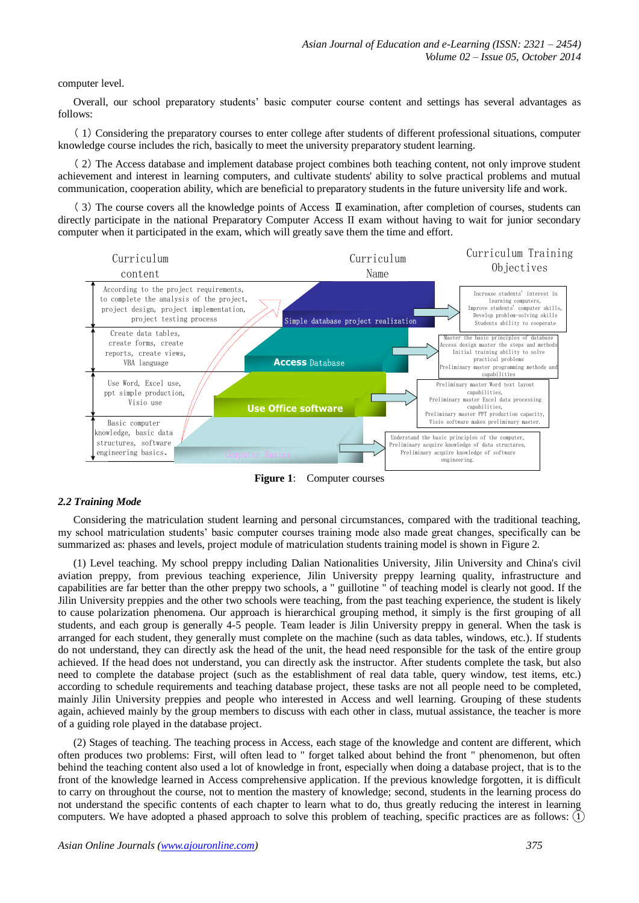computer level.

Overall, our school preparatory students' basic computer course content and settings has several advantages as follows:

( 1) Considering the preparatory courses to enter college after students of different professional situations, computer knowledge course includes the rich, basically to meet the university preparatory student learning.

( 2) The Access database and implement database project combines both teaching content, not only improve student achievement and interest in learning computers, and cultivate students' ability to solve practical problems and mutual communication, cooperation ability, which are beneficial to preparatory students in the future university life and work.

( 3) The course covers all the knowledge points of Access Ⅱexamination, after completion of courses, students can directly participate in the national Preparatory Computer Access II exam without having to wait for junior secondary computer when it participated in the exam, which will greatly save them the time and effort.



**Figure 1**: Computer courses

#### *2.2 Training Mode*

Considering the matriculation student learning and personal circumstances, compared with the traditional teaching, my school matriculation students' basic computer courses training mode also made great changes, specifically can be summarized as: phases and levels, project module of matriculation students training model is shown in Figure 2.

(1) Level teaching. My school preppy including Dalian Nationalities University, Jilin University and China's civil aviation preppy, from previous teaching experience, Jilin University preppy learning quality, infrastructure and capabilities are far better than the other preppy two schools, a " guillotine " of teaching model is clearly not good. If the Jilin University preppies and the other two schools were teaching, from the past teaching experience, the student is likely to cause polarization phenomena. Our approach is hierarchical grouping method, it simply is the first grouping of all students, and each group is generally 4-5 people. Team leader is Jilin University preppy in general. When the task is arranged for each student, they generally must complete on the machine (such as data tables, windows, etc.). If students do not understand, they can directly ask the head of the unit, the head need responsible for the task of the entire group achieved. If the head does not understand, you can directly ask the instructor. After students complete the task, but also need to complete the database project (such as the establishment of real data table, query window, test items, etc.) according to schedule requirements and teaching database project, these tasks are not all people need to be completed, mainly Jilin University preppies and people who interested in Access and well learning. Grouping of these students again, achieved mainly by the group members to discuss with each other in class, mutual assistance, the teacher is more of a guiding role played in the database project.

(2) Stages of teaching. The teaching process in Access, each stage of the knowledge and content are different, which often produces two problems: First, will often lead to " forget talked about behind the front " phenomenon, but often behind the teaching content also used a lot of knowledge in front, especially when doing a database project, that is to the front of the knowledge learned in Access comprehensive application. If the previous knowledge forgotten, it is difficult to carry on throughout the course, not to mention the mastery of knowledge; second, students in the learning process do not understand the specific contents of each chapter to learn what to do, thus greatly reducing the interest in learning computers. We have adopted a phased approach to solve this problem of teaching, specific practices are as follows: ①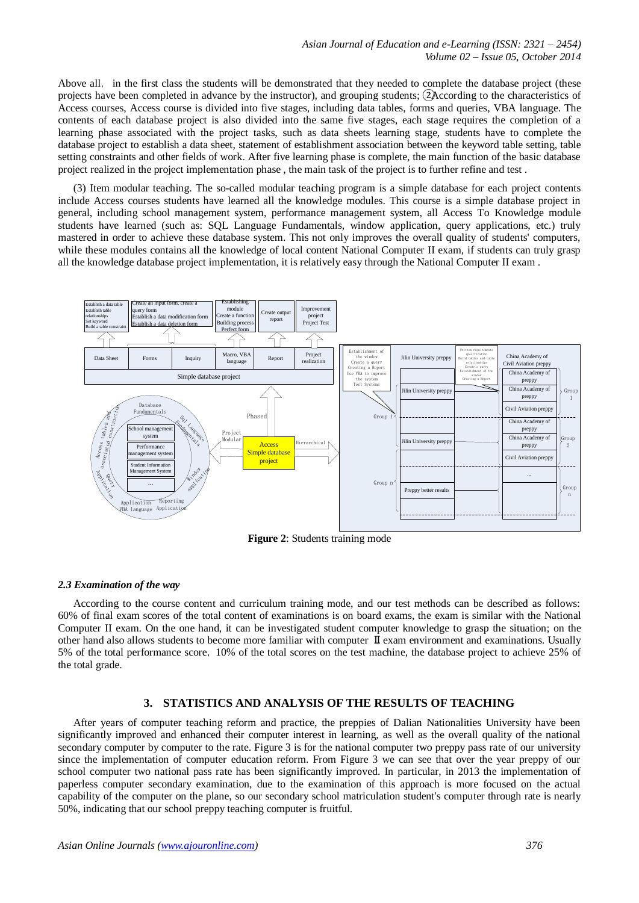Above all, in the first class the students will be demonstrated that they needed to complete the database project (these projects have been completed in advance by the instructor), and grouping students; ②According to the characteristics of Access courses, Access course is divided into five stages, including data tables, forms and queries, VBA language. The contents of each database project is also divided into the same five stages, each stage requires the completion of a learning phase associated with the project tasks, such as data sheets learning stage, students have to complete the database project to establish a data sheet, statement of establishment association between the keyword table setting, table setting constraints and other fields of work. After five learning phase is complete, the main function of the basic database project realized in the project implementation phase , the main task of the project is to further refine and test .

(3) Item modular teaching. The so-called modular teaching program is a simple database for each project contents include Access courses students have learned all the knowledge modules. This course is a simple database project in general, including school management system, performance management system, all Access To Knowledge module students have learned (such as: SQL Language Fundamentals, window application, query applications, etc.) truly mastered in order to achieve these database system. This not only improves the overall quality of students' computers, while these modules contains all the knowledge of local content National Computer II exam, if students can truly grasp all the knowledge database project implementation, it is relatively easy through the National Computer II exam .



**Figure 2**: Students training mode

#### *2.3 Examination of the way*

According to the course content and curriculum training mode, and our test methods can be described as follows: 60% of final exam scores of the total content of examinations is on board exams, the exam is similar with the National Computer II exam. On the one hand, it can be investigated student computer knowledge to grasp the situation; on the other hand also allows students to become more familiar with computer Ⅱexam environment and examinations. Usually 5% of the total performance score, 10% of the total scores on the test machine, the database project to achieve 25% of the total grade.

## **3. STATISTICS AND ANALYSIS OF THE RESULTS OF TEACHING**

After years of computer teaching reform and practice, the preppies of Dalian Nationalities University have been significantly improved and enhanced their computer interest in learning, as well as the overall quality of the national secondary computer by computer to the rate. Figure 3 is for the national computer two preppy pass rate of our university since the implementation of computer education reform. From Figure 3 we can see that over the year preppy of our school computer two national pass rate has been significantly improved. In particular, in 2013 the implementation of paperless computer secondary examination, due to the examination of this approach is more focused on the actual capability of the computer on the plane, so our secondary school matriculation student's computer through rate is nearly 50%, indicating that our school preppy teaching computer is fruitful.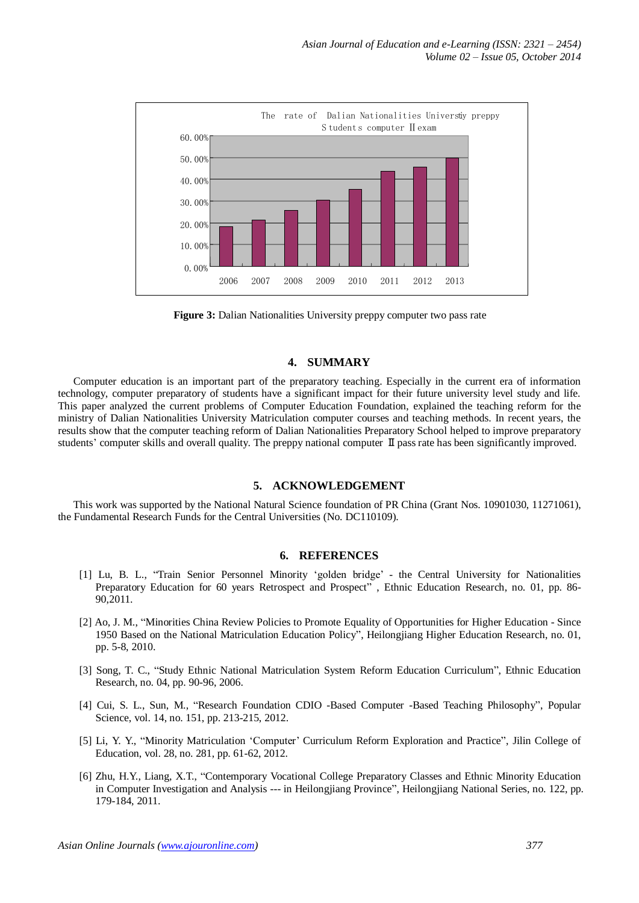

**Figure 3:** Dalian Nationalities University preppy computer two pass rate

### **4. SUMMARY**

Computer education is an important part of the preparatory teaching. Especially in the current era of information technology, computer preparatory of students have a significant impact for their future university level study and life. This paper analyzed the current problems of Computer Education Foundation, explained the teaching reform for the ministry of Dalian Nationalities University Matriculation computer courses and teaching methods. In recent years, the results show that the computer teaching reform of Dalian Nationalities Preparatory School helped to improve preparatory students' computer skills and overall quality. The preppy national computer II pass rate has been significantly improved.

# **5. ACKNOWLEDGEMENT**

This work was supported by the National Natural Science foundation of PR China (Grant Nos. 10901030, 11271061), the Fundamental Research Funds for the Central Universities (No. DC110109).

#### **6. REFERENCES**

- [1] Lu, B. L., "Train Senior Personnel Minority 'golden bridge' the Central University for Nationalities Preparatory Education for 60 years Retrospect and Prospect" , Ethnic Education Research, no. 01, pp. 86- 90,2011.
- [2] Ao, J. M., "Minorities China Review Policies to Promote Equality of Opportunities for Higher Education Since 1950 Based on the National Matriculation Education Policy", Heilongjiang Higher Education Research, no. 01, pp. 5-8, 2010.
- [3] Song, T. C., "Study Ethnic National Matriculation System Reform Education Curriculum", Ethnic Education Research, no. 04, pp. 90-96, 2006.
- [4] Cui, S. L., Sun, M., "Research Foundation CDIO -Based Computer -Based Teaching Philosophy", Popular Science, vol. 14, no. 151, pp. 213-215, 2012.
- [5] Li, Y. Y., "Minority Matriculation 'Computer' Curriculum Reform Exploration and Practice", Jilin College of Education, vol. 28, no. 281, pp. 61-62, 2012.
- [6] Zhu, H.Y., Liang, X.T., "Contemporary Vocational College Preparatory Classes and Ethnic Minority Education in Computer Investigation and Analysis --- in Heilongjiang Province", Heilongjiang National Series, no. 122, pp. 179-184, 2011.